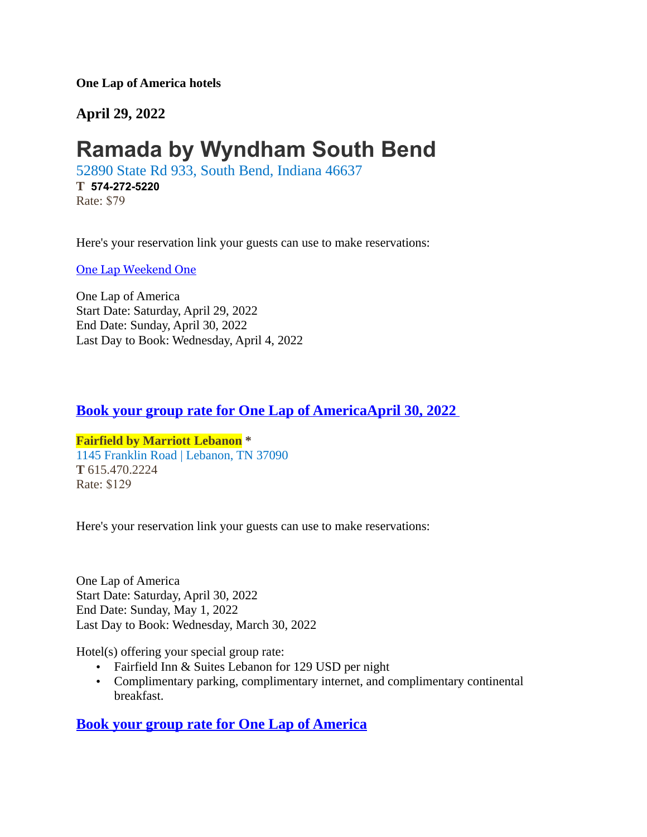**One Lap of America hotels**

**April 29, 2022**

# **[Ramada by Wyndham South Bend](https://www.wyndhamhotels.com/ramada/south-bend-indiana/ramada-hotel-south-bend/overview)**

52890 State Rd 933, South Bend, Indiana 46637

**T [574-272-5220](tel:+1-574-272-5220)** Rate: \$79

Here's your reservation link your guests can use to make reservations:

[One Lap Weekend One](https://www.wyndhamhotels.com/ramada/south-bend-indiana/ramada-hotel-south-bend/rooms-rates?&checkInDate=04/28/2022&checkOutDate=05/01/2022&groupCode=042822ONE)

One Lap of America Start Date: Saturday, April 29, 2022 End Date: Sunday, April 30, 2022 Last Day to Book: Wednesday, April 4, 2022

## **[Book your group rate for One Lap of America A](https://www.marriott.com/events/start.mi?id=1643750951783&key=GRP)pril 30, 2022**

### **Fairfield by Marriott Lebanon \*** 1145 Franklin Road | Lebanon, TN 37090 **T** 615.470.2224 Rate: \$129

Here's your reservation link your guests can use to make reservations:

One Lap of America Start Date: Saturday, April 30, 2022 End Date: Sunday, May 1, 2022 Last Day to Book: Wednesday, March 30, 2022

Hotel(s) offering your special group rate:

- Fairfield Inn & Suites Lebanon for 129 USD per night
- Complimentary parking, complimentary internet, and complimentary continental breakfast.

## **[Book your group rate for One Lap of America](https://www.marriott.com/events/start.mi?id=1643750951783&key=GRP)**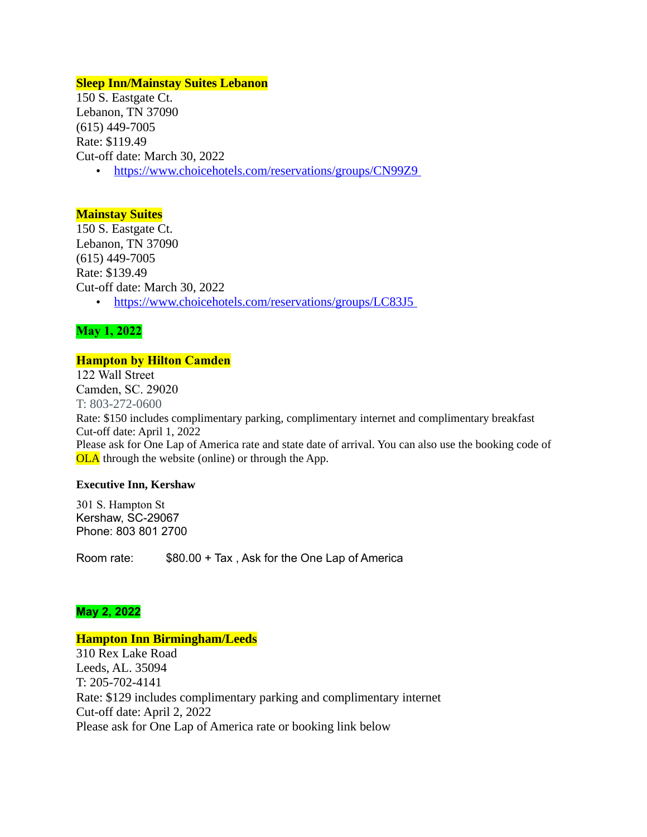#### **Sleep Inn/Mainstay Suites Lebanon**

150 S. Eastgate Ct. Lebanon, TN 37090 (615) 449-7005 Rate: \$119.49 Cut-off date: March 30, 2022

•<https://www.choicehotels.com/reservations/groups/CN99Z9>

#### **Mainstay Suites**

150 S. Eastgate Ct. Lebanon, TN 37090 (615) 449-7005 Rate: \$139.49 Cut-off date: March 30, 2022 •<https://www.choicehotels.com/reservations/groups/LC83J5>

#### **May 1, 2022**

#### **Hampton by Hilton Camden**

122 Wall Street Camden, SC. 29020 T: 803-272-0600 Rate: \$150 includes complimentary parking, complimentary internet and complimentary breakfast Cut-off date: April 1, 2022 Please ask for One Lap of America rate and state date of arrival. You can also use the booking code of OLA through the website (online) or through the App.

#### **Executive Inn, Kershaw**

301 S. Hampton St Kershaw, SC-29067 Phone: 803 801 2700

Room rate: \$80.00 + Tax , Ask for the One Lap of America

#### **May 2, 2022**

#### **Hampton Inn Birmingham/Leeds**

310 Rex Lake Road Leeds, AL. 35094 T: 205-702-4141 Rate: \$129 includes complimentary parking and complimentary internet Cut-off date: April 2, 2022 Please ask for One Lap of America rate or booking link below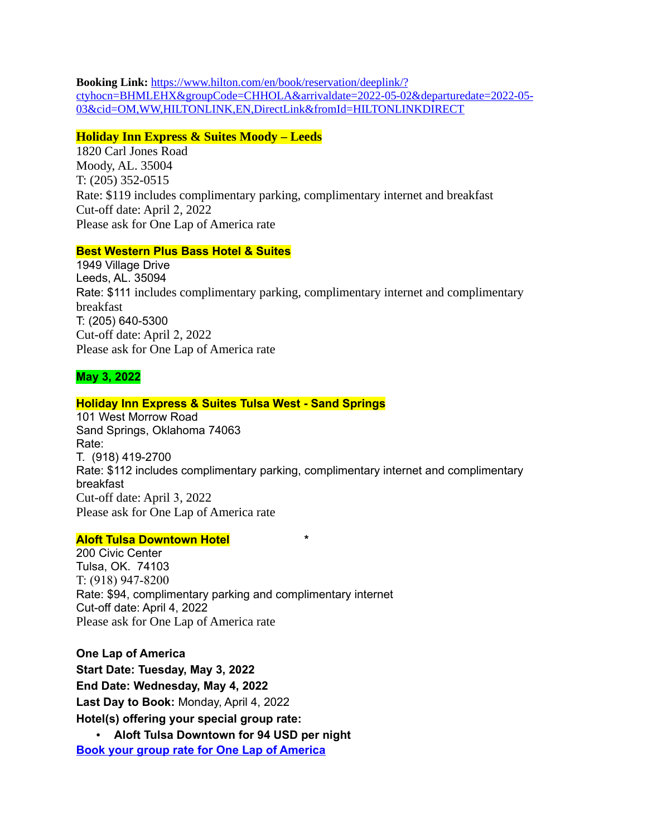**Booking Link:** [https://www.hilton.com/en/book/reservation/deeplink/?](https://www.hilton.com/en/book/reservation/deeplink/?ctyhocn=BHMLEHX&groupCode=CHHOLA&arrivaldate=2022-05-02&departuredate=2022-05-03&cid=OM,WW,HILTONLINK,EN,DirectLink&fromId=HILTONLINKDIRECT) [ctyhocn=BHMLEHX&groupCode=CHHOLA&arrivaldate=2022-05-02&departuredate=2022-05-](https://www.hilton.com/en/book/reservation/deeplink/?ctyhocn=BHMLEHX&groupCode=CHHOLA&arrivaldate=2022-05-02&departuredate=2022-05-03&cid=OM,WW,HILTONLINK,EN,DirectLink&fromId=HILTONLINKDIRECT) [03&cid=OM,WW,HILTONLINK,EN,DirectLink&fromId=HILTONLINKDIRECT](https://www.hilton.com/en/book/reservation/deeplink/?ctyhocn=BHMLEHX&groupCode=CHHOLA&arrivaldate=2022-05-02&departuredate=2022-05-03&cid=OM,WW,HILTONLINK,EN,DirectLink&fromId=HILTONLINKDIRECT)

#### **Holiday Inn Express & Suites Moody – Leeds**

1820 Carl Jones Road Moody, AL. 35004 T: (205) 352-0515 Rate: \$119 includes complimentary parking, complimentary internet and breakfast Cut-off date: April 2, 2022 Please ask for One Lap of America rate

#### **Best Western Plus Bass Hotel & Suites**

1949 Village Drive Leeds, AL. 35094 Rate: \$111 includes complimentary parking, complimentary internet and complimentary breakfast T: (205) 640-5300 Cut-off date: April 2, 2022 Please ask for One Lap of America rate

#### **May 3, 2022**

#### **Holiday Inn Express & Suites Tulsa West - Sand Springs**

101 West Morrow Road Sand Springs, Oklahoma 74063 Rate: T. (918) 419-2700 Rate: \$112 includes complimentary parking, complimentary internet and complimentary breakfast Cut-off date: April 3, 2022 Please ask for One Lap of America rate

#### **Aloft Tulsa Downtown Hotel \***

200 Civic Center Tulsa, OK. 74103 T: (918) 947-8200 Rate: \$94, complimentary parking and complimentary internet Cut-off date: April 4, 2022 Please ask for One Lap of America rate

**One Lap of America Start Date: Tuesday, May 3, 2022 End Date: Wednesday, May 4, 2022 Last Day to Book:** Monday, April 4, 2022 **Hotel(s) offering your special group rate:**

• **Aloft Tulsa Downtown for 94 USD per night [Book your group rate for One Lap of America](https://www.marriott.com/events/start.mi?id=1643903670637&key=GRP)**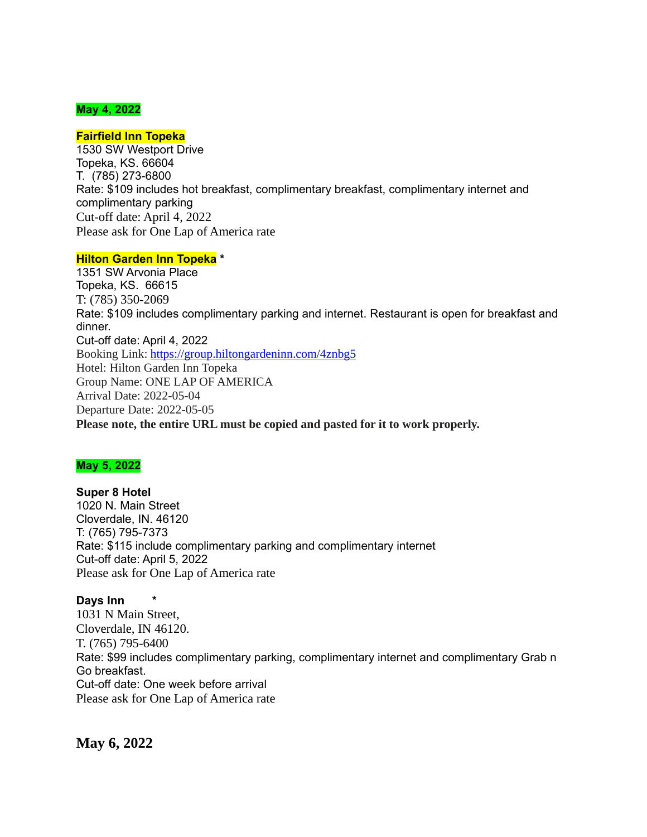#### **May 4, 2022**

#### **Fairfield Inn Topeka**

1530 SW Westport Drive Topeka, KS. 66604 T. (785) 273-6800 Rate: \$109 includes hot breakfast, complimentary breakfast, complimentary internet and complimentary parking Cut-off date: April 4, 2022 Please ask for One Lap of America rate

#### **Hilton Garden Inn Topeka \***

1351 SW Arvonia Place Topeka, KS. 66615 T: (785) 350-2069 Rate: \$109 includes complimentary parking and internet. Restaurant is open for breakfast and dinner. Cut-off date: April 4, 2022 Booking Link: <https://group.hiltongardeninn.com/4znbg5> Hotel: Hilton Garden Inn Topeka Group Name: ONE LAP OF AMERICA Arrival Date: 2022-05-04 Departure Date: 2022-05-05 **Please note, the entire URL must be copied and pasted for it to work properly.**

#### **May 5, 2022**

**Super 8 Hotel** 1020 N. Main Street Cloverdale, IN. 46120 T: (765) 795-7373 Rate: \$115 include complimentary parking and complimentary internet Cut-off date: April 5, 2022 Please ask for One Lap of America rate

#### **Days Inn \***

1031 N Main Street, Cloverdale, IN 46120. T. (765) 795-6400 Rate: \$99 includes complimentary parking, complimentary internet and complimentary Grab n Go breakfast. Cut-off date: One week before arrival Please ask for One Lap of America rate

**May 6, 2022**